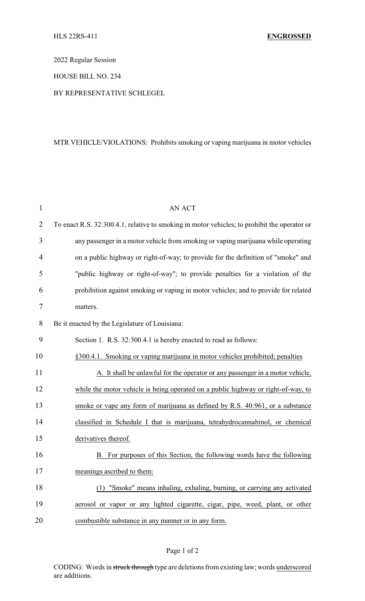2022 Regular Session

HOUSE BILL NO. 234

BY REPRESENTATIVE SCHLEGEL

## MTR VEHICLE/VIOLATIONS: Prohibits smoking or vaping marijuana in motor vehicles

| $\mathbf{1}$   | <b>AN ACT</b>                                                                                |
|----------------|----------------------------------------------------------------------------------------------|
| $\overline{2}$ | To enact R.S. 32:300.4.1, relative to smoking in motor vehicles; to prohibit the operator or |
| 3              | any passenger in a motor vehicle from smoking or vaping marijuana while operating            |
| $\overline{4}$ | on a public highway or right-of-way; to provide for the definition of "smoke" and            |
| 5              | "public highway or right-of-way"; to provide penalties for a violation of the                |
| 6              | prohibition against smoking or vaping in motor vehicles; and to provide for related          |
| 7              | matters.                                                                                     |
| 8              | Be it enacted by the Legislature of Louisiana:                                               |
| 9              | Section 1. R.S. 32:300.4.1 is hereby enacted to read as follows:                             |
| 10             | §300.4.1. Smoking or vaping marijuana in motor vehicles prohibited; penalties                |
| 11             | A. It shall be unlawful for the operator or any passenger in a motor vehicle,                |
| 12             | while the motor vehicle is being operated on a public highway or right-of-way, to            |
| 13             | smoke or vape any form of marijuana as defined by R.S. 40:961, or a substance                |
| 14             | classified in Schedule I that is marijuana, tetrahydrocannabinol, or chemical                |
| 15             | derivatives thereof.                                                                         |
| 16             | For purposes of this Section, the following words have the following<br>B.                   |
| 17             | meanings ascribed to them:                                                                   |
| 18             | "Smoke" means inhaling, exhaling, burning, or carrying any activated<br>(1)                  |
| 19             | aerosol or vapor or any lighted cigarette, cigar, pipe, weed, plant, or other                |
| 20             | combustible substance in any manner or in any form.                                          |

## Page 1 of 2

CODING: Words in struck through type are deletions from existing law; words underscored are additions.